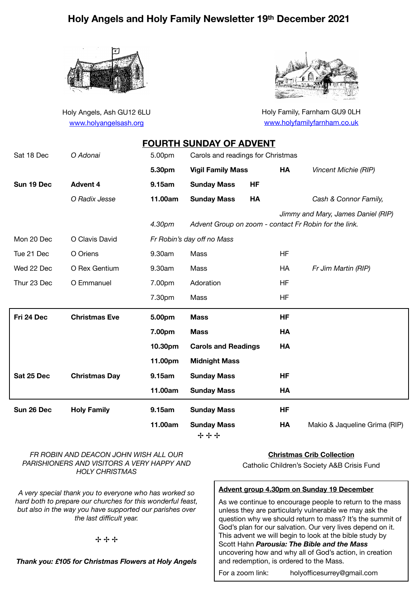# **Holy Angels and Holy Family Newsletter 19th December 2021**



Holy Angels, Ash GU12 6LU [www.holyangelsash.org](http://www.holyangelsash.org)



Holy Family, Farnham GU9 0LH [www.holyfamilyfarnham.co.uk](http://www.holyfamilyfarnham.co.uk)

|             |                      |         | <b>FOURTH SUNDAY OF ADVENT</b>                        |           |           |                                    |
|-------------|----------------------|---------|-------------------------------------------------------|-----------|-----------|------------------------------------|
| Sat 18 Dec  | O Adonai             | 5.00pm  | Carols and readings for Christmas                     |           |           |                                    |
|             |                      | 5.30pm  | <b>Vigil Family Mass</b>                              |           | HA        | Vincent Michie (RIP)               |
| Sun 19 Dec  | <b>Advent 4</b>      | 9.15am  | <b>Sunday Mass</b>                                    | <b>HF</b> |           |                                    |
|             | O Radix Jesse        | 11.00am | <b>Sunday Mass</b>                                    | HA        |           | Cash & Connor Family,              |
|             |                      | 4.30pm  | Advent Group on zoom - contact Fr Robin for the link. |           |           | Jimmy and Mary, James Daniel (RIP) |
| Mon 20 Dec  | O Clavis David       |         | Fr Robin's day off no Mass                            |           |           |                                    |
| Tue 21 Dec  | O Oriens             | 9.30am  | Mass                                                  |           | HF        |                                    |
| Wed 22 Dec  | O Rex Gentium        | 9.30am  | Mass                                                  |           | <b>HA</b> | Fr Jim Martin (RIP)                |
| Thur 23 Dec | O Emmanuel           | 7.00pm  | Adoration                                             |           | HF        |                                    |
|             |                      | 7.30pm  | Mass                                                  |           | HF        |                                    |
| Fri 24 Dec  |                      |         |                                                       |           |           |                                    |
|             | <b>Christmas Eve</b> | 5.00pm  | <b>Mass</b>                                           |           | <b>HF</b> |                                    |
|             |                      | 7.00pm  | <b>Mass</b>                                           |           | HA        |                                    |
|             |                      | 10.30pm | <b>Carols and Readings</b>                            |           | HA        |                                    |
|             |                      | 11.00pm | <b>Midnight Mass</b>                                  |           |           |                                    |
| Sat 25 Dec  | <b>Christmas Day</b> | 9.15am  | <b>Sunday Mass</b>                                    |           | <b>HF</b> |                                    |
|             |                      | 11.00am | <b>Sunday Mass</b>                                    |           | HA        |                                    |
| Sun 26 Dec  | <b>Holy Family</b>   | 9.15am  | <b>Sunday Mass</b>                                    |           | HF        |                                    |

✢ ✢ ✢

**Christmas Crib Collection** 

Catholic Children's Society A&B Crisis Fund

#### **Advent group 4.30pm on Sunday 19 December**

As we continue to encourage people to return to the mass unless they are particularly vulnerable we may ask the question why we should return to mass? It's the summit of God's plan for our salvation. Our very lives depend on it. This advent we will begin to look at the bible study by Scott Hahn *Parousia: The Bible and the Mass*  uncovering how and why all of God's action, in creation and redemption, is ordered to the Mass.

For a zoom link: holyofficesurrey@gmail.com

✢ ✢ ✢

*FR ROBIN AND DEACON JOHN WISH ALL OUR PARISHIONERS AND VISITORS A VERY HAPPY AND HOLY CHRISTMAS* 

*A very special thank you to everyone who has worked so hard both to prepare our churches for this wonderful feast, but also in the way you have supported our parishes over the last difficult year.* 

*Thank you: £105 for Christmas Flowers at Holy Angels*